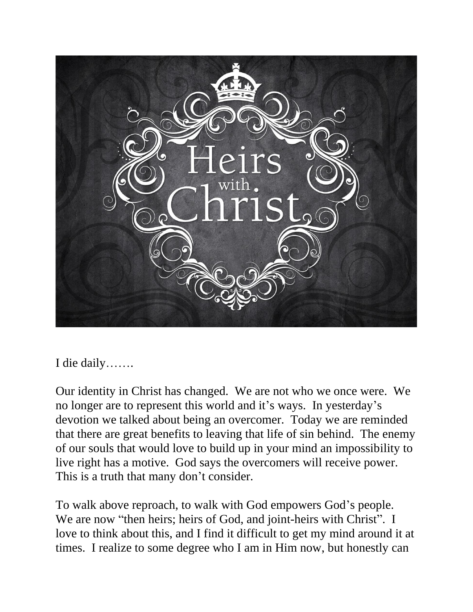

I die daily…….

Our identity in Christ has changed. We are not who we once were. We no longer are to represent this world and it's ways. In yesterday's devotion we talked about being an overcomer. Today we are reminded that there are great benefits to leaving that life of sin behind. The enemy of our souls that would love to build up in your mind an impossibility to live right has a motive. God says the overcomers will receive power. This is a truth that many don't consider.

To walk above reproach, to walk with God empowers God's people. We are now "then heirs; heirs of God, and joint-heirs with Christ". I love to think about this, and I find it difficult to get my mind around it at times. I realize to some degree who I am in Him now, but honestly can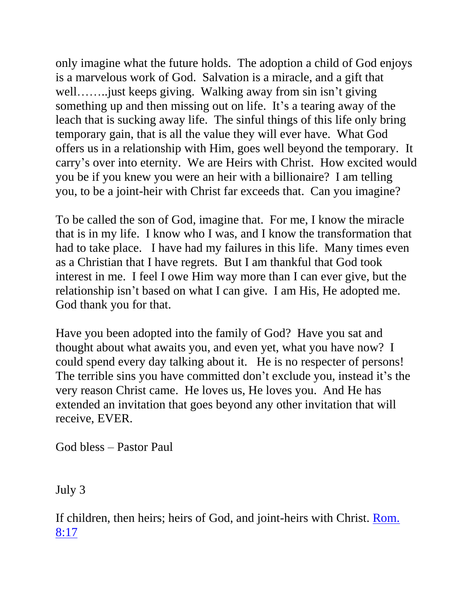only imagine what the future holds. The adoption a child of God enjoys is a marvelous work of God. Salvation is a miracle, and a gift that well……..just keeps giving. Walking away from sin isn't giving something up and then missing out on life. It's a tearing away of the leach that is sucking away life. The sinful things of this life only bring temporary gain, that is all the value they will ever have. What God offers us in a relationship with Him, goes well beyond the temporary. It carry's over into eternity. We are Heirs with Christ. How excited would you be if you knew you were an heir with a billionaire? I am telling you, to be a joint-heir with Christ far exceeds that. Can you imagine?

To be called the son of God, imagine that. For me, I know the miracle that is in my life. I know who I was, and I know the transformation that had to take place. I have had my failures in this life. Many times even as a Christian that I have regrets. But I am thankful that God took interest in me. I feel I owe Him way more than I can ever give, but the relationship isn't based on what I can give. I am His, He adopted me. God thank you for that.

Have you been adopted into the family of God? Have you sat and thought about what awaits you, and even yet, what you have now? I could spend every day talking about it. He is no respecter of persons! The terrible sins you have committed don't exclude you, instead it's the very reason Christ came. He loves us, He loves you. And He has extended an invitation that goes beyond any other invitation that will receive, EVER.

God bless – Pastor Paul

July 3

If children, then heirs; heirs of God, and joint-heirs with Christ. [Rom.](https://biblia.com/bible/nkjv/Rom.%208.17)  [8:17](https://biblia.com/bible/nkjv/Rom.%208.17)